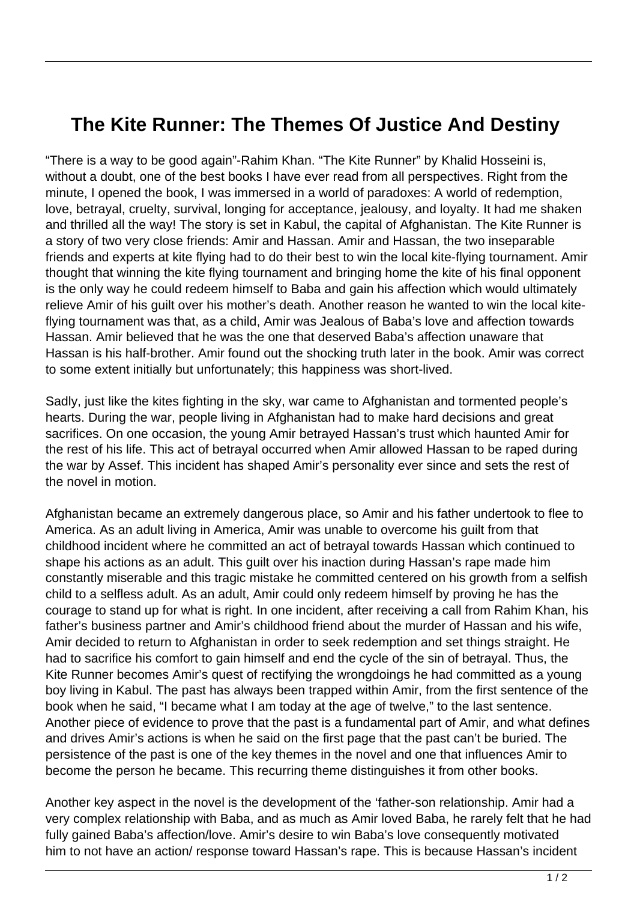## **The Kite Runner: The Themes Of Justice And Destiny**

"There is a way to be good again"-Rahim Khan. "The Kite Runner" by Khalid Hosseini is, without a doubt, one of the best books I have ever read from all perspectives. Right from the minute, I opened the book, I was immersed in a world of paradoxes: A world of redemption, love, betrayal, cruelty, survival, longing for acceptance, jealousy, and loyalty. It had me shaken and thrilled all the way! The story is set in Kabul, the capital of Afghanistan. The Kite Runner is a story of two very close friends: Amir and Hassan. Amir and Hassan, the two inseparable friends and experts at kite flying had to do their best to win the local kite-flying tournament. Amir thought that winning the kite flying tournament and bringing home the kite of his final opponent is the only way he could redeem himself to Baba and gain his affection which would ultimately relieve Amir of his guilt over his mother's death. Another reason he wanted to win the local kiteflying tournament was that, as a child, Amir was Jealous of Baba's love and affection towards Hassan. Amir believed that he was the one that deserved Baba's affection unaware that Hassan is his half-brother. Amir found out the shocking truth later in the book. Amir was correct to some extent initially but unfortunately; this happiness was short-lived.

Sadly, just like the kites fighting in the sky, war came to Afghanistan and tormented people's hearts. During the war, people living in Afghanistan had to make hard decisions and great sacrifices. On one occasion, the young Amir betrayed Hassan's trust which haunted Amir for the rest of his life. This act of betrayal occurred when Amir allowed Hassan to be raped during the war by Assef. This incident has shaped Amir's personality ever since and sets the rest of the novel in motion.

Afghanistan became an extremely dangerous place, so Amir and his father undertook to flee to America. As an adult living in America, Amir was unable to overcome his guilt from that childhood incident where he committed an act of betrayal towards Hassan which continued to shape his actions as an adult. This guilt over his inaction during Hassan's rape made him constantly miserable and this tragic mistake he committed centered on his growth from a selfish child to a selfless adult. As an adult, Amir could only redeem himself by proving he has the courage to stand up for what is right. In one incident, after receiving a call from Rahim Khan, his father's business partner and Amir's childhood friend about the murder of Hassan and his wife, Amir decided to return to Afghanistan in order to seek redemption and set things straight. He had to sacrifice his comfort to gain himself and end the cycle of the sin of betrayal. Thus, the Kite Runner becomes Amir's quest of rectifying the wrongdoings he had committed as a young boy living in Kabul. The past has always been trapped within Amir, from the first sentence of the book when he said, "I became what I am today at the age of twelve," to the last sentence. Another piece of evidence to prove that the past is a fundamental part of Amir, and what defines and drives Amir's actions is when he said on the first page that the past can't be buried. The persistence of the past is one of the key themes in the novel and one that influences Amir to become the person he became. This recurring theme distinguishes it from other books.

Another key aspect in the novel is the development of the 'father-son relationship. Amir had a very complex relationship with Baba, and as much as Amir loved Baba, he rarely felt that he had fully gained Baba's affection/love. Amir's desire to win Baba's love consequently motivated him to not have an action/ response toward Hassan's rape. This is because Hassan's incident